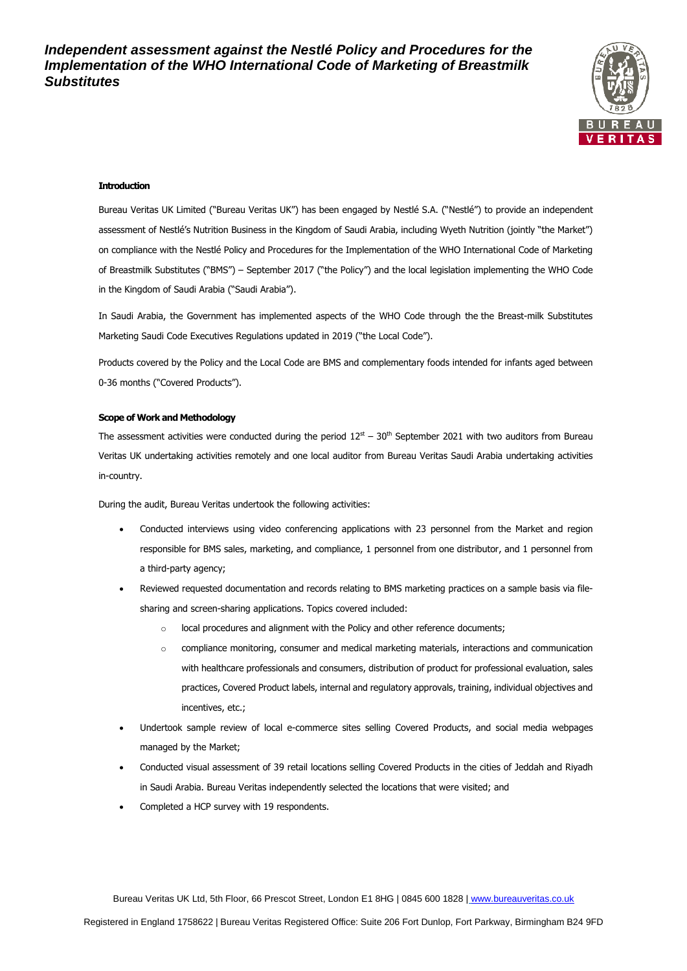

### **Introduction**

Bureau Veritas UK Limited ("Bureau Veritas UK") has been engaged by Nestlé S.A. ("Nestlé") to provide an independent assessment of Nestlé's Nutrition Business in the Kingdom of Saudi Arabia, including Wyeth Nutrition (jointly "the Market") on compliance with the Nestlé Policy and Procedures for the Implementation of the WHO International Code of Marketing of Breastmilk Substitutes ("BMS") – September 2017 ("the Policy") and the local legislation implementing the WHO Code in the Kingdom of Saudi Arabia ("Saudi Arabia").

In Saudi Arabia, the Government has implemented aspects of the WHO Code through the the Breast-milk Substitutes Marketing Saudi Code Executives Regulations updated in 2019 ("the Local Code").

Products covered by the Policy and the Local Code are BMS and complementary foods intended for infants aged between 0-36 months ("Covered Products").

### **Scope of Work and Methodology**

The assessment activities were conducted during the period  $12^{st}$  – 30<sup>th</sup> September 2021 with two auditors from Bureau Veritas UK undertaking activities remotely and one local auditor from Bureau Veritas Saudi Arabia undertaking activities in-country.

During the audit, Bureau Veritas undertook the following activities:

- Conducted interviews using video conferencing applications with 23 personnel from the Market and region responsible for BMS sales, marketing, and compliance, 1 personnel from one distributor, and 1 personnel from a third-party agency;
- Reviewed requested documentation and records relating to BMS marketing practices on a sample basis via filesharing and screen-sharing applications. Topics covered included:
	- o local procedures and alignment with the Policy and other reference documents;
	- o compliance monitoring, consumer and medical marketing materials, interactions and communication with healthcare professionals and consumers, distribution of product for professional evaluation, sales practices, Covered Product labels, internal and regulatory approvals, training, individual objectives and incentives, etc.;
- Undertook sample review of local e-commerce sites selling Covered Products, and social media webpages managed by the Market;
- Conducted visual assessment of 39 retail locations selling Covered Products in the cities of Jeddah and Riyadh in Saudi Arabia. Bureau Veritas independently selected the locations that were visited; and
- Completed a HCP survey with 19 respondents.

Bureau Veritas UK Ltd, 5th Floor, 66 Prescot Street, London E1 8HG | 0845 600 1828 | [www.bureauveritas.co.uk](http://www.bureauveritas.co.uk/)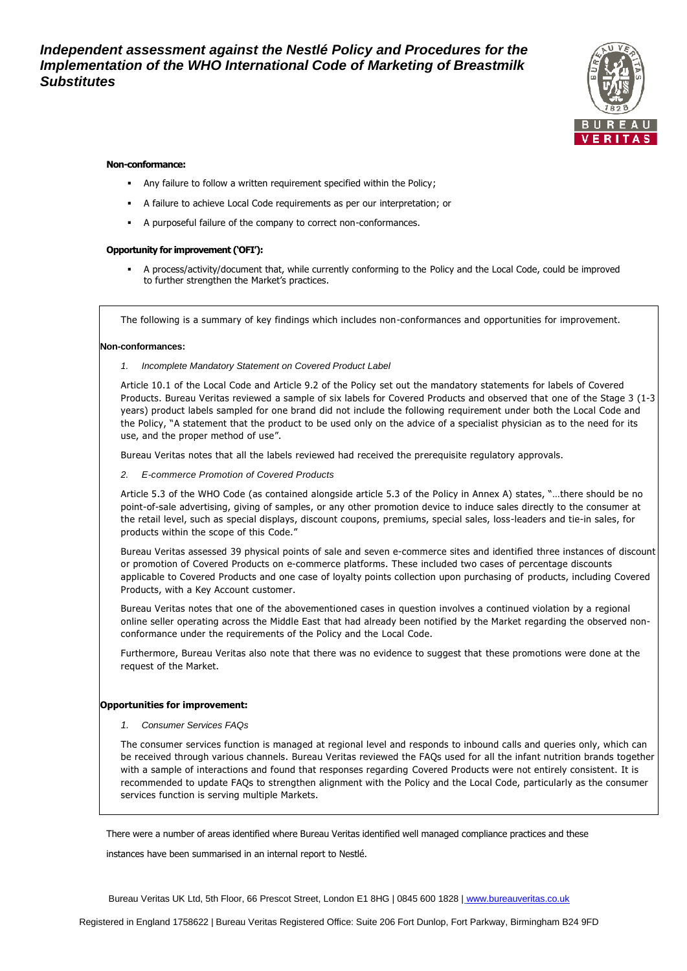*Independent assessment against the Nestlé Policy and Procedures for the Implementation of the WHO International Code of Marketing of Breastmilk Substitutes*



# **Non-conformance:**

- Any failure to follow a written requirement specified within the Policy;
- A failure to achieve Local Code requirements as per our interpretation; or
- A purposeful failure of the company to correct non-conformances.

# **Opportunity for improvement ('OFI'):**

A process/activity/document that, while currently conforming to the Policy and the Local Code, could be improved to further strengthen the Market's practices.

The following is a summary of key findings which includes non-conformances and opportunities for improvement.

# **Non-conformances:**

*1. Incomplete Mandatory Statement on Covered Product Label*

Article 10.1 of the Local Code and Article 9.2 of the Policy set out the mandatory statements for labels of Covered Products. Bureau Veritas reviewed a sample of six labels for Covered Products and observed that one of the Stage 3 (1-3 years) product labels sampled for one brand did not include the following requirement under both the Local Code and the Policy, "A statement that the product to be used only on the advice of a specialist physician as to the need for its use, and the proper method of use".

Bureau Veritas notes that all the labels reviewed had received the prerequisite regulatory approvals.

*2. E-commerce Promotion of Covered Products* 

Article 5.3 of the WHO Code (as contained alongside article 5.3 of the Policy in Annex A) states, "…there should be no point-of-sale advertising, giving of samples, or any other promotion device to induce sales directly to the consumer at the retail level, such as special displays, discount coupons, premiums, special sales, loss-leaders and tie-in sales, for products within the scope of this Code."

Bureau Veritas assessed 39 physical points of sale and seven e-commerce sites and identified three instances of discount or promotion of Covered Products on e-commerce platforms. These included two cases of percentage discounts applicable to Covered Products and one case of loyalty points collection upon purchasing of products, including Covered Products, with a Key Account customer.

Bureau Veritas notes that one of the abovementioned cases in question involves a continued violation by a regional online seller operating across the Middle East that had already been notified by the Market regarding the observed nonconformance under the requirements of the Policy and the Local Code.

Furthermore, Bureau Veritas also note that there was no evidence to suggest that these promotions were done at the request of the Market.

### **Opportunities for improvement:**

*1. Consumer Services FAQs* 

The consumer services function is managed at regional level and responds to inbound calls and queries only, which can be received through various channels. Bureau Veritas reviewed the FAQs used for all the infant nutrition brands together with a sample of interactions and found that responses regarding Covered Products were not entirely consistent. It is recommended to update FAQs to strengthen alignment with the Policy and the Local Code, particularly as the consumer services function is serving multiple Markets.

There were a number of areas identified where Bureau Veritas identified well managed compliance practices and these

instances have been summarised in an internal report to Nestlé.

Bureau Veritas UK Ltd, 5th Floor, 66 Prescot Street, London E1 8HG | 0845 600 1828 | [www.bureauveritas.co.uk](http://www.bureauveritas.co.uk/)

Registered in England 1758622 | Bureau Veritas Registered Office: Suite 206 Fort Dunlop, Fort Parkway, Birmingham B24 9FD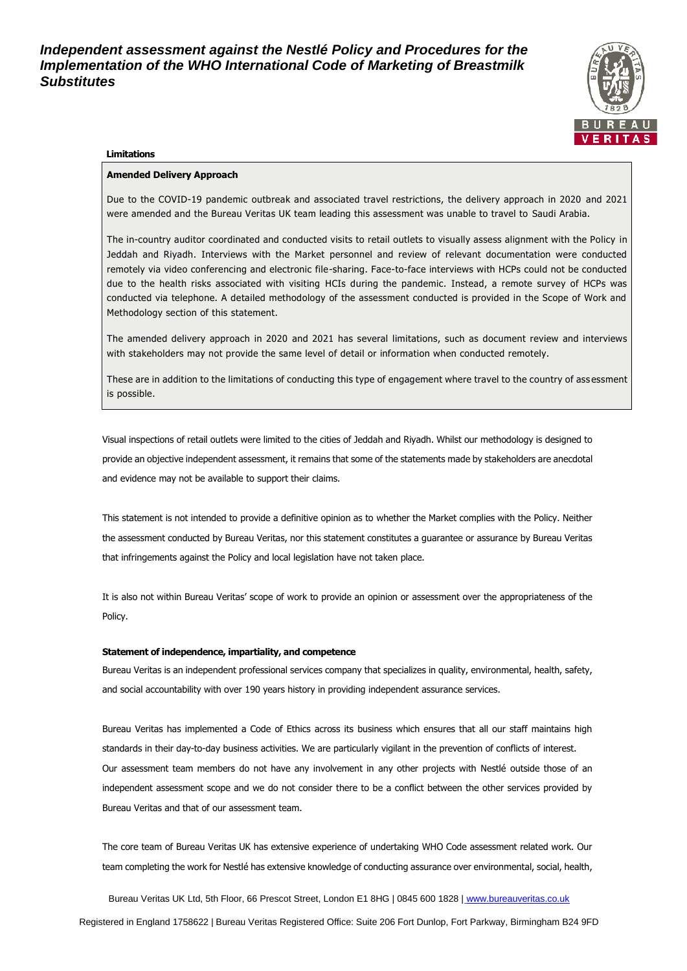*Independent assessment against the Nestlé Policy and Procedures for the Implementation of the WHO International Code of Marketing of Breastmilk Substitutes*



#### **Limitations**

### **Amended Delivery Approach**

Due to the COVID-19 pandemic outbreak and associated travel restrictions, the delivery approach in 2020 and 2021 were amended and the Bureau Veritas UK team leading this assessment was unable to travel to Saudi Arabia.

The in-country auditor coordinated and conducted visits to retail outlets to visually assess alignment with the Policy in Jeddah and Riyadh. Interviews with the Market personnel and review of relevant documentation were conducted remotely via video conferencing and electronic file-sharing. Face-to-face interviews with HCPs could not be conducted due to the health risks associated with visiting HCIs during the pandemic. Instead, a remote survey of HCPs was conducted via telephone. A detailed methodology of the assessment conducted is provided in the Scope of Work and Methodology section of this statement.

The amended delivery approach in 2020 and 2021 has several limitations, such as document review and interviews with stakeholders may not provide the same level of detail or information when conducted remotely.

These are in addition to the limitations of conducting this type of engagement where travel to the country of ass essment is possible.

Visual inspections of retail outlets were limited to the cities of Jeddah and Riyadh. Whilst our methodology is designed to provide an objective independent assessment, it remains that some of the statements made by stakeholders are anecdotal and evidence may not be available to support their claims.

This statement is not intended to provide a definitive opinion as to whether the Market complies with the Policy. Neither the assessment conducted by Bureau Veritas, nor this statement constitutes a guarantee or assurance by Bureau Veritas that infringements against the Policy and local legislation have not taken place.

It is also not within Bureau Veritas' scope of work to provide an opinion or assessment over the appropriateness of the Policy.

#### **Statement of independence, impartiality, and competence**

Bureau Veritas is an independent professional services company that specializes in quality, environmental, health, safety, and social accountability with over 190 years history in providing independent assurance services.

Bureau Veritas has implemented a Code of Ethics across its business which ensures that all our staff maintains high standards in their day-to-day business activities. We are particularly vigilant in the prevention of conflicts of interest. Our assessment team members do not have any involvement in any other projects with Nestlé outside those of an independent assessment scope and we do not consider there to be a conflict between the other services provided by Bureau Veritas and that of our assessment team.

The core team of Bureau Veritas UK has extensive experience of undertaking WHO Code assessment related work. Our team completing the work for Nestlé has extensive knowledge of conducting assurance over environmental, social, health,

Bureau Veritas UK Ltd, 5th Floor, 66 Prescot Street, London E1 8HG | 0845 600 1828 | [www.bureauveritas.co.uk](http://www.bureauveritas.co.uk/) Registered in England 1758622 | Bureau Veritas Registered Office: Suite 206 Fort Dunlop, Fort Parkway, Birmingham B24 9FD